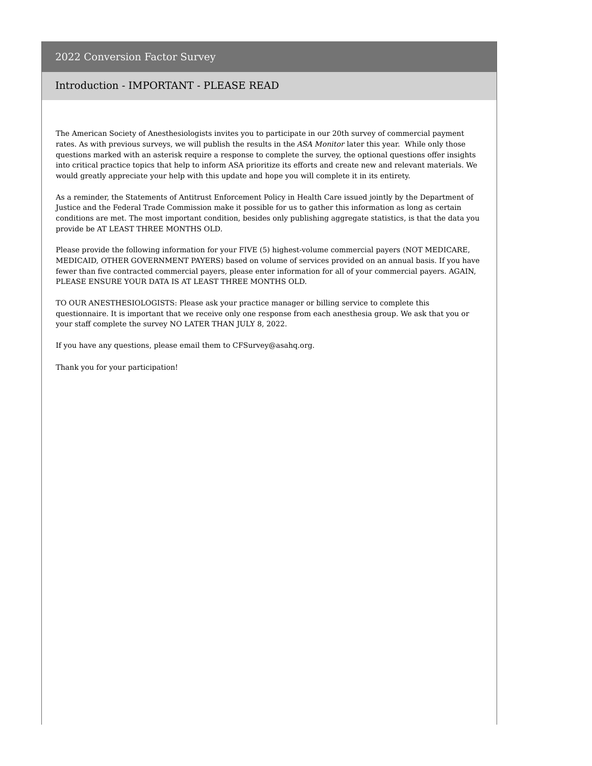#### Introduction - IMPORTANT - PLEASE READ

The American Society of Anesthesiologists invites you to participate in our 20th survey of commercial payment rates. As with previous surveys, we will publish the results in the *ASA Monitor* later this year. While only those questions marked with an asterisk require a response to complete the survey, the optional questions offer insights into critical practice topics that help to inform ASA prioritize its efforts and create new and relevant materials. We would greatly appreciate your help with this update and hope you will complete it in its entirety.

As a reminder, the Statements of Antitrust Enforcement Policy in Health Care issued jointly by the Department of Justice and the Federal Trade Commission make it possible for us to gather this information as long as certain conditions are met. The most important condition, besides only publishing aggregate statistics, is that the data you provide be AT LEAST THREE MONTHS OLD.

Please provide the following information for your FIVE (5) highest-volume commercial payers (NOT MEDICARE, MEDICAID, OTHER GOVERNMENT PAYERS) based on volume of services provided on an annual basis. If you have fewer than five contracted commercial payers, please enter information for all of your commercial payers. AGAIN, PLEASE ENSURE YOUR DATA IS AT LEAST THREE MONTHS OLD.

TO OUR ANESTHESIOLOGISTS: Please ask your practice manager or billing service to complete this questionnaire. It is important that we receive only one response from each anesthesia group. We ask that you or your staff complete the survey NO LATER THAN JULY 8, 2022.

If you have any questions, please email them to CFSurvey@asahq.org.

Thank you for your participation!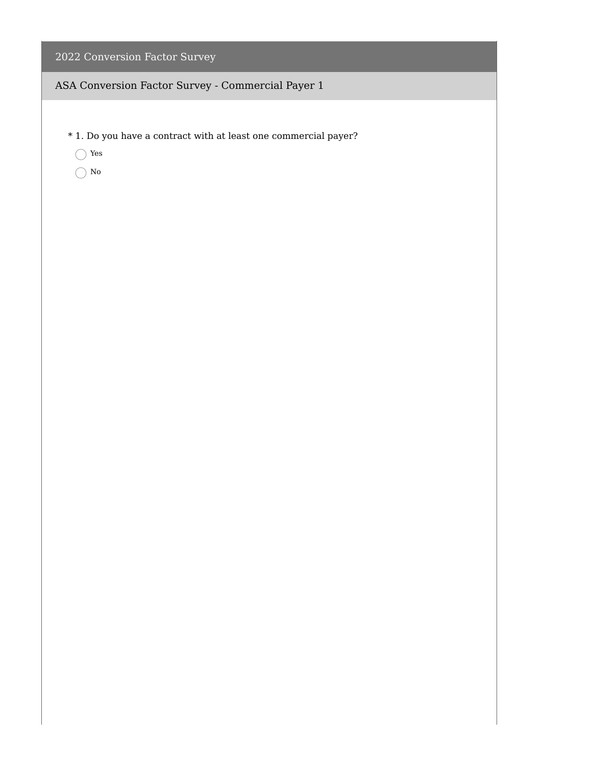- \* 1. Do you have a contract with at least one commercial payer?
	- Yes
	- $\bigcirc$  No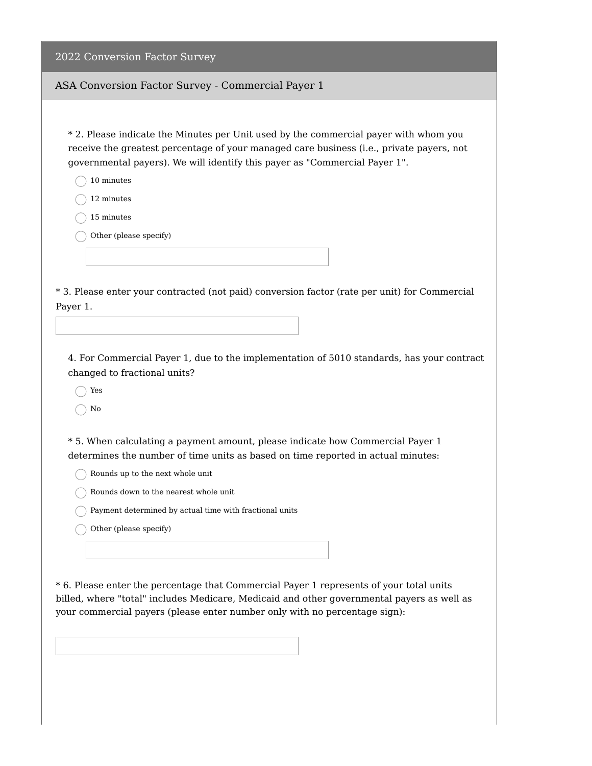ASA Conversion Factor Survey - Commercial Payer 1

\* 2. Please indicate the Minutes per Unit used by the commercial payer with whom you receive the greatest percentage of your managed care business (i.e., private payers, not governmental payers). We will identify this payer as "Commercial Payer 1".

10 minutes

12 minutes

15 minutes

Other (please specify)

\* 3. Please enter your contracted (not paid) conversion factor (rate per unit) for Commercial Payer 1.

4. For Commercial Payer 1, due to the implementation of 5010 standards, has your contract changed to fractional units?

Yes

No

\* 5. When calculating a payment amount, please indicate how Commercial Payer 1 determines the number of time units as based on time reported in actual minutes:

 $\bigcap$  Rounds up to the next whole unit

 $\bigcap$  Rounds down to the nearest whole unit

Payment determined by actual time with fractional units

 $\bigcap$  Other (please specify)

\* 6. Please enter the percentage that Commercial Payer 1 represents of your total units billed, where "total" includes Medicare, Medicaid and other governmental payers as well as your commercial payers (please enter number only with no percentage sign):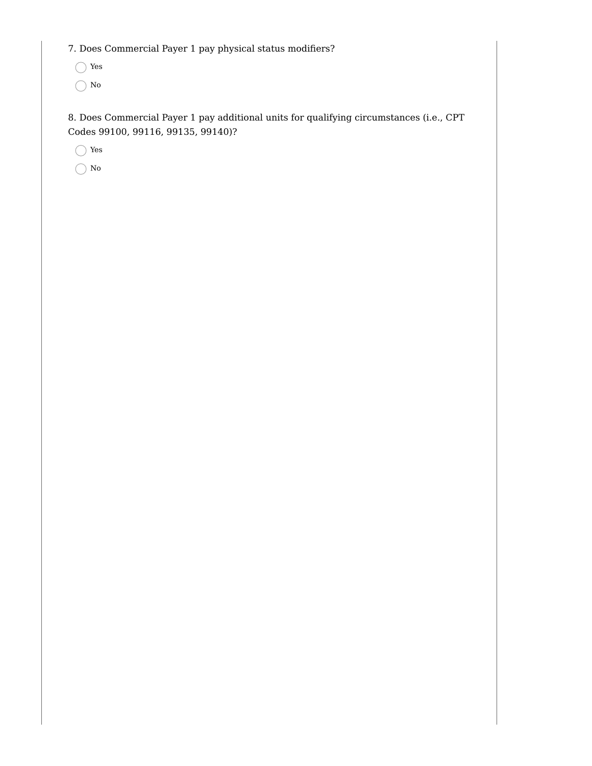7. Does Commercial Payer 1 pay physical status modifiers?

Yes

 $\bigcap$  No

8. Does Commercial Payer 1 pay additional units for qualifying circumstances (i.e., CPT Codes 99100, 99116, 99135, 99140)?

Yes

 $\bigcap$  No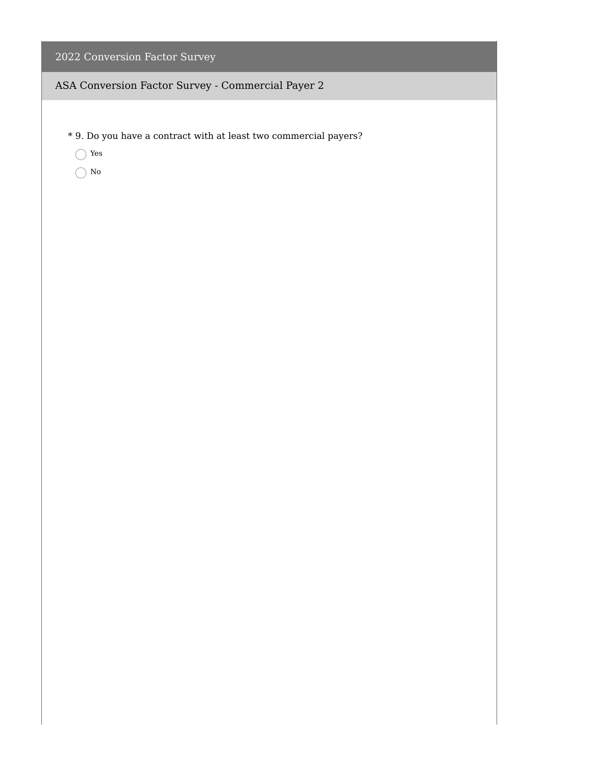- \* 9. Do you have a contract with at least two commercial payers?
	- Yes
	- $\bigcirc$  No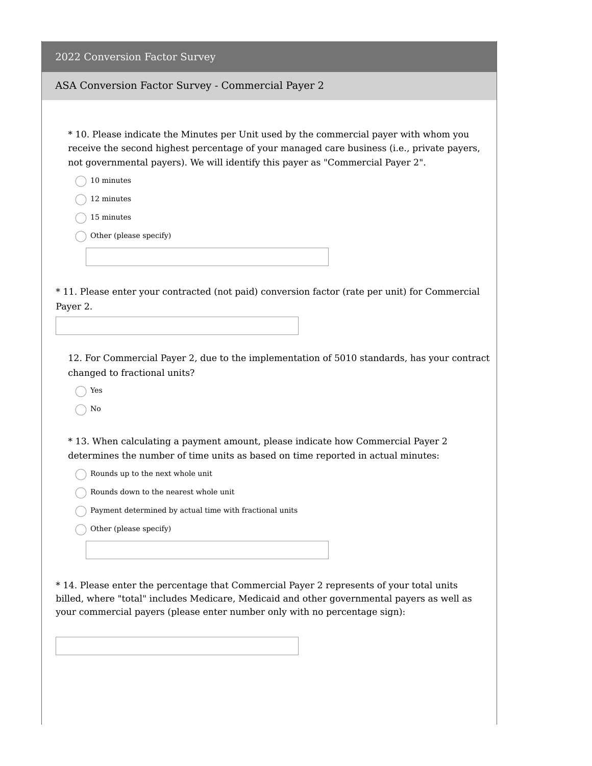| 2022 Conversion Factor Survey |  |
|-------------------------------|--|
|                               |  |

#### ASA Conversion Factor Survey - Commercial Payer 2

\* 10. Please indicate the Minutes per Unit used by the commercial payer with whom you receive the second highest percentage of your managed care business (i.e., private payers, not governmental payers). We will identify this payer as "Commercial Payer 2".

- 10 minutes
- 12 minutes
- 15 minutes
- Other (please specify)

\* 11. Please enter your contracted (not paid) conversion factor (rate per unit) for Commercial Payer 2.

12. For Commercial Payer 2, due to the implementation of 5010 standards, has your contract changed to fractional units?

Yes

No

\* 13. When calculating a payment amount, please indicate how Commercial Payer 2 determines the number of time units as based on time reported in actual minutes:

 $\bigcap$  Rounds up to the next whole unit

 $\bigcap$  Rounds down to the nearest whole unit

Payment determined by actual time with fractional units

 $\bigcap$  Other (please specify)

\* 14. Please enter the percentage that Commercial Payer 2 represents of your total units billed, where "total" includes Medicare, Medicaid and other governmental payers as well as your commercial payers (please enter number only with no percentage sign):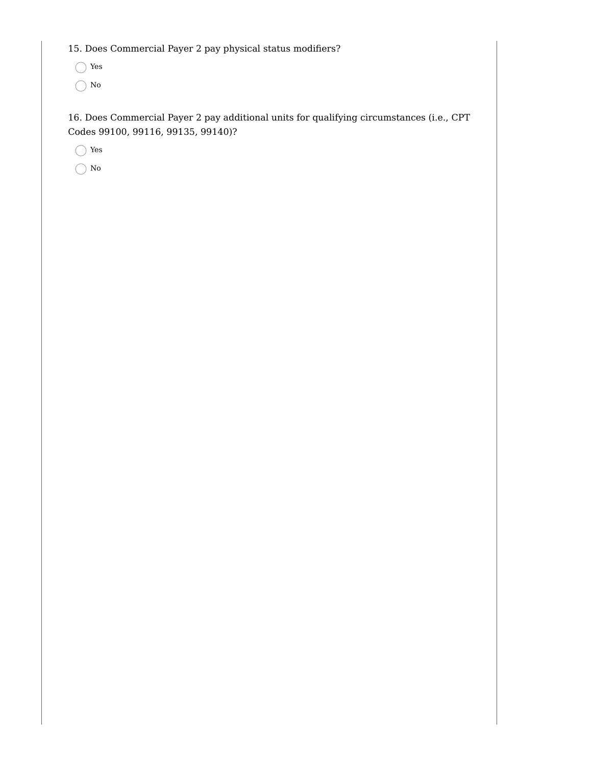15. Does Commercial Payer 2 pay physical status modifiers?

Yes

 $\bigcap$  No

16. Does Commercial Payer 2 pay additional units for qualifying circumstances (i.e., CPT Codes 99100, 99116, 99135, 99140)?

Yes

 $\bigcap$  No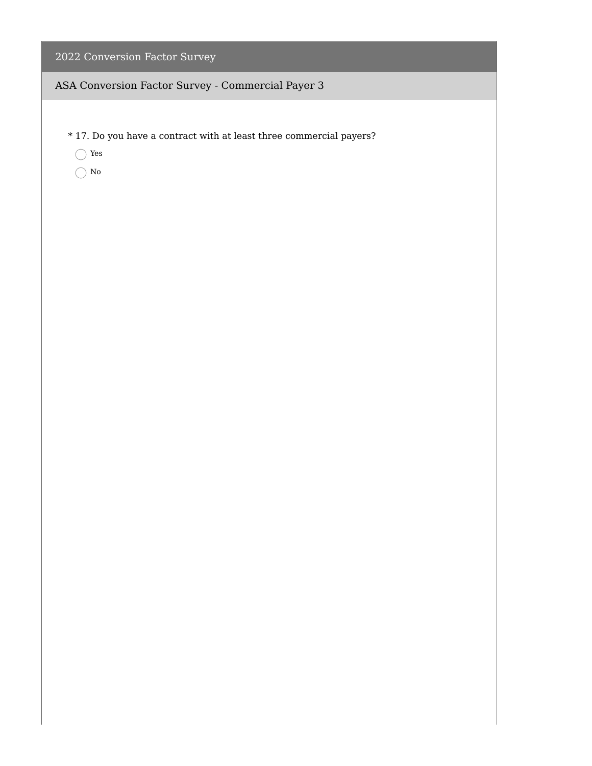- \* 17. Do you have a contract with at least three commercial payers?
	- Yes
	- $\bigcirc$  No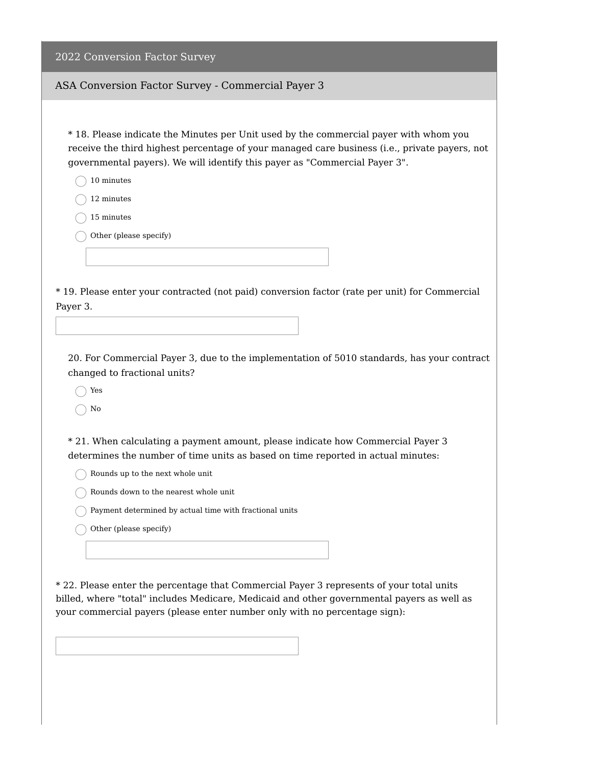#### ASA Conversion Factor Survey - Commercial Payer 3

\* 18. Please indicate the Minutes per Unit used by the commercial payer with whom you receive the third highest percentage of your managed care business (i.e., private payers, not governmental payers). We will identify this payer as "Commercial Payer 3".

- 10 minutes
- 12 minutes
- 15 minutes
- Other (please specify)

\* 19. Please enter your contracted (not paid) conversion factor (rate per unit) for Commercial Payer 3.

20. For Commercial Payer 3, due to the implementation of 5010 standards, has your contract changed to fractional units?

Yes

No

\* 21. When calculating a payment amount, please indicate how Commercial Payer 3 determines the number of time units as based on time reported in actual minutes:

 $\bigcap$  Rounds up to the next whole unit

 $\bigcap$  Rounds down to the nearest whole unit

Payment determined by actual time with fractional units

 $\bigcap$  Other (please specify)

\* 22. Please enter the percentage that Commercial Payer 3 represents of your total units billed, where "total" includes Medicare, Medicaid and other governmental payers as well as your commercial payers (please enter number only with no percentage sign):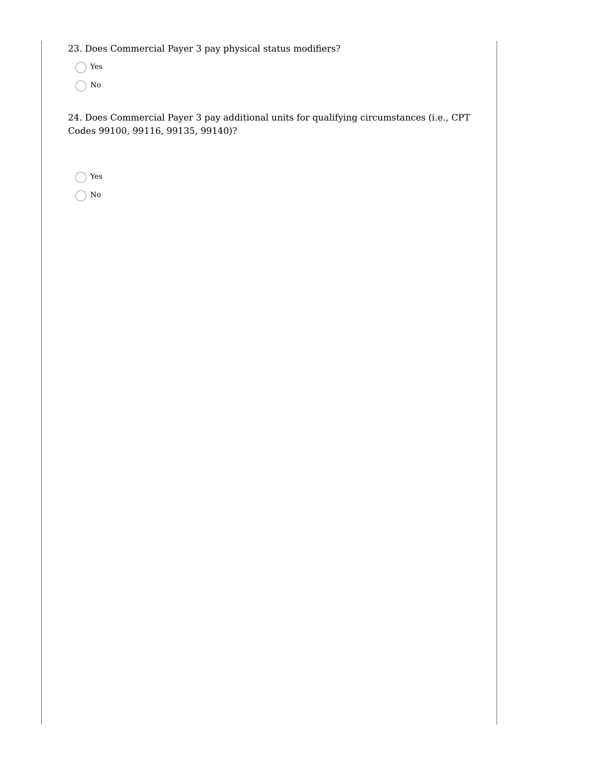23. Does Commercial Payer 3 pay physical status modifiers?

Yes

 $\bigcap$  No

24. Does Commercial Payer 3 pay additional units for qualifying circumstances (i.e., CPT Codes 99100, 99116, 99135, 99140)?

Yes

No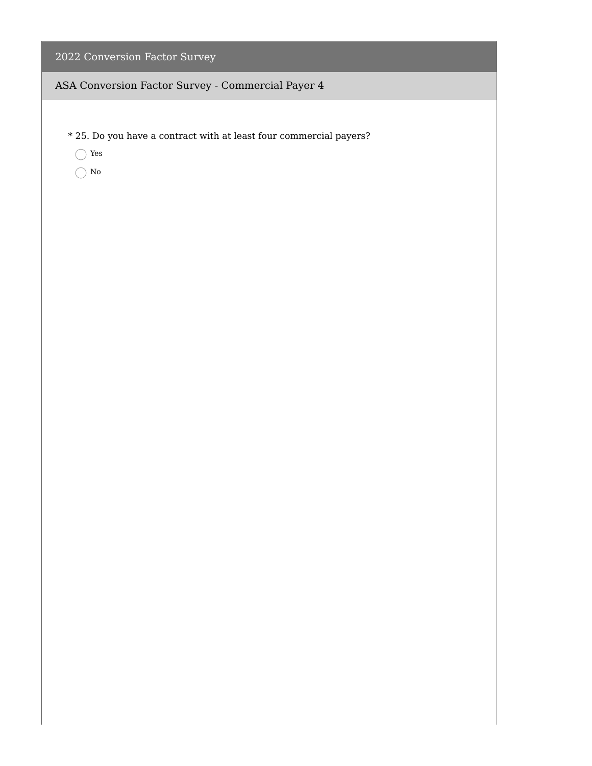- \* 25. Do you have a contract with at least four commercial payers?
	- Yes
	- $\bigcirc$  No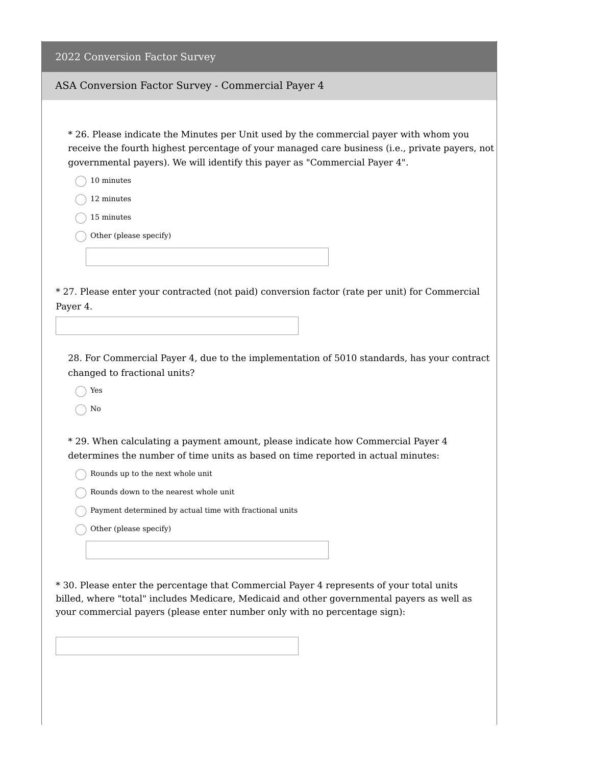#### ASA Conversion Factor Survey - Commercial Payer 4

\* 26. Please indicate the Minutes per Unit used by the commercial payer with whom you receive the fourth highest percentage of your managed care business (i.e., private payers, not governmental payers). We will identify this payer as "Commercial Payer 4".

10 minutes

12 minutes

15 minutes

Other (please specify)

\* 27. Please enter your contracted (not paid) conversion factor (rate per unit) for Commercial Payer 4.

28. For Commercial Payer 4, due to the implementation of 5010 standards, has your contract changed to fractional units?

Yes

No

\* 29. When calculating a payment amount, please indicate how Commercial Payer 4 determines the number of time units as based on time reported in actual minutes:

 $\bigcap$  Rounds up to the next whole unit

 $\bigcap$  Rounds down to the nearest whole unit

Payment determined by actual time with fractional units

 $\bigcap$  Other (please specify)

\* 30. Please enter the percentage that Commercial Payer 4 represents of your total units billed, where "total" includes Medicare, Medicaid and other governmental payers as well as your commercial payers (please enter number only with no percentage sign):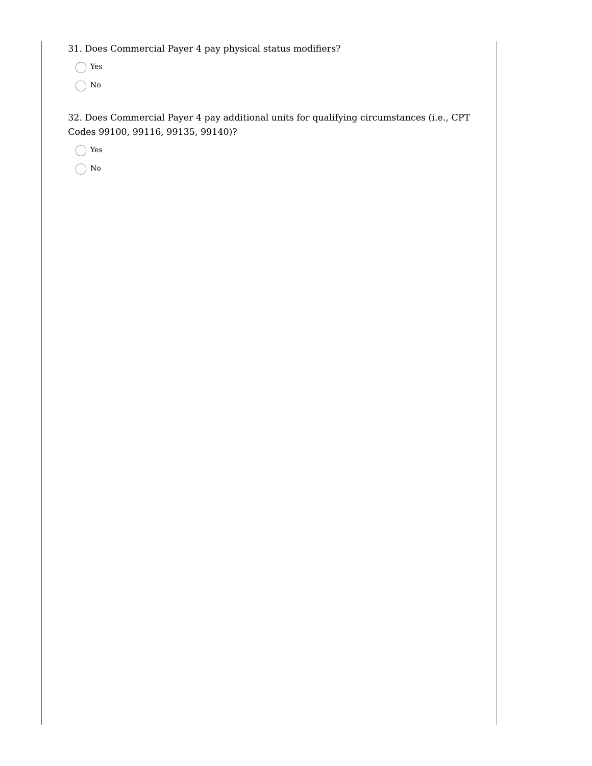31. Does Commercial Payer 4 pay physical status modifiers?

Yes

 $\bigcap$  No

32. Does Commercial Payer 4 pay additional units for qualifying circumstances (i.e., CPT Codes 99100, 99116, 99135, 99140)?

Yes

 $\bigcap$  No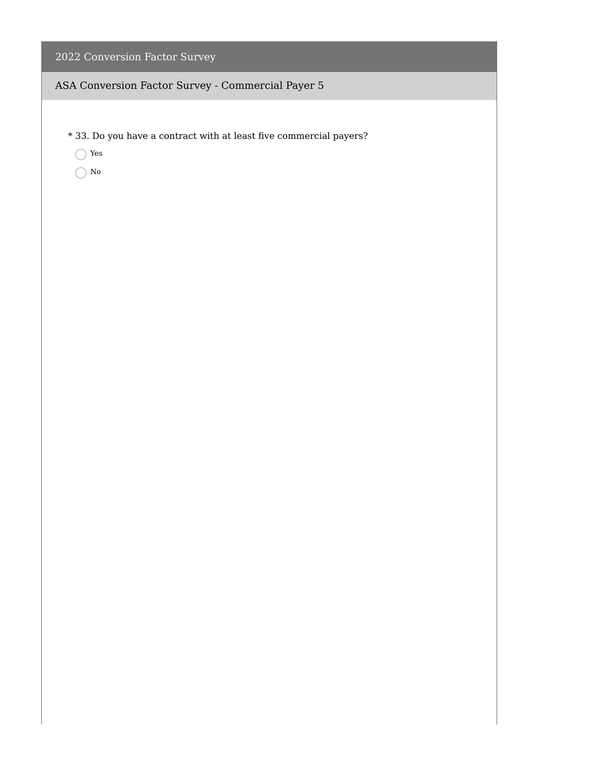- \* 33. Do you have a contract with at least five commercial payers?
	- Yes
	- $\bigcirc$  No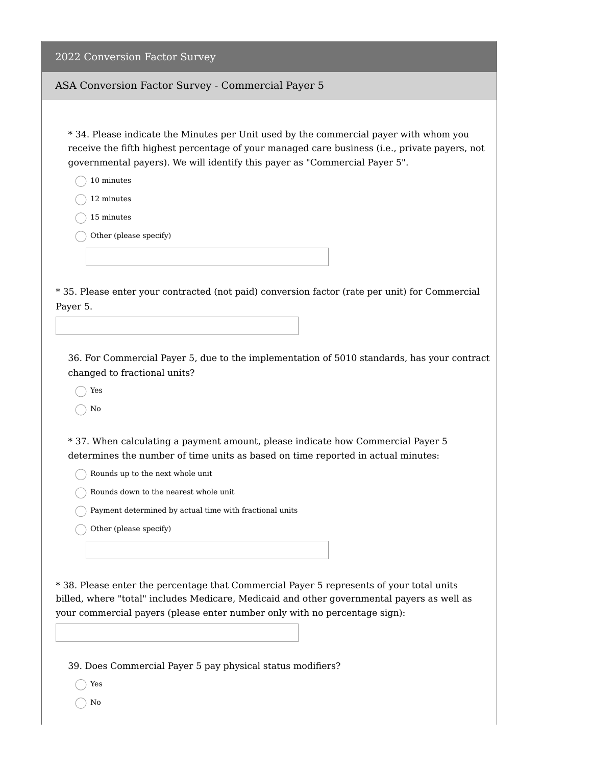#### ASA Conversion Factor Survey - Commercial Payer 5

\* 34. Please indicate the Minutes per Unit used by the commercial payer with whom you receive the fifth highest percentage of your managed care business (i.e., private payers, not governmental payers). We will identify this payer as "Commercial Payer 5".

10 minutes

12 minutes

15 minutes

Other (please specify)

\* 35. Please enter your contracted (not paid) conversion factor (rate per unit) for Commercial Payer 5.

36. For Commercial Payer 5, due to the implementation of 5010 standards, has your contract changed to fractional units?

Yes

No

\* 37. When calculating a payment amount, please indicate how Commercial Payer 5 determines the number of time units as based on time reported in actual minutes:

 $\bigcap$  Rounds up to the next whole unit

 $\bigcap$  Rounds down to the nearest whole unit

Payment determined by actual time with fractional units

 $\bigcap$  Other (please specify)

\* 38. Please enter the percentage that Commercial Payer 5 represents of your total units billed, where "total" includes Medicare, Medicaid and other governmental payers as well as your commercial payers (please enter number only with no percentage sign):

39. Does Commercial Payer 5 pay physical status modifiers?

Yes

 $\bigcap$  No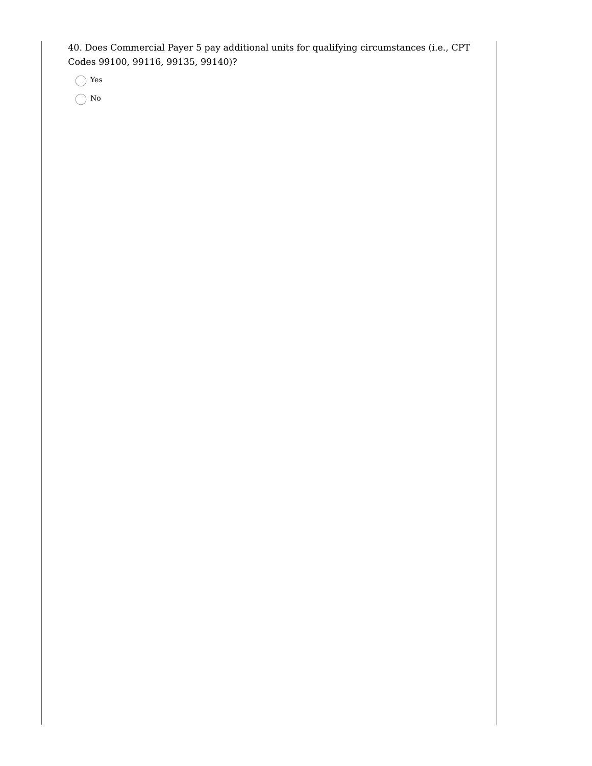40. Does Commercial Payer 5 pay additional units for qualifying circumstances (i.e., CPT Codes 99100, 99116, 99135, 99140)?

Yes

No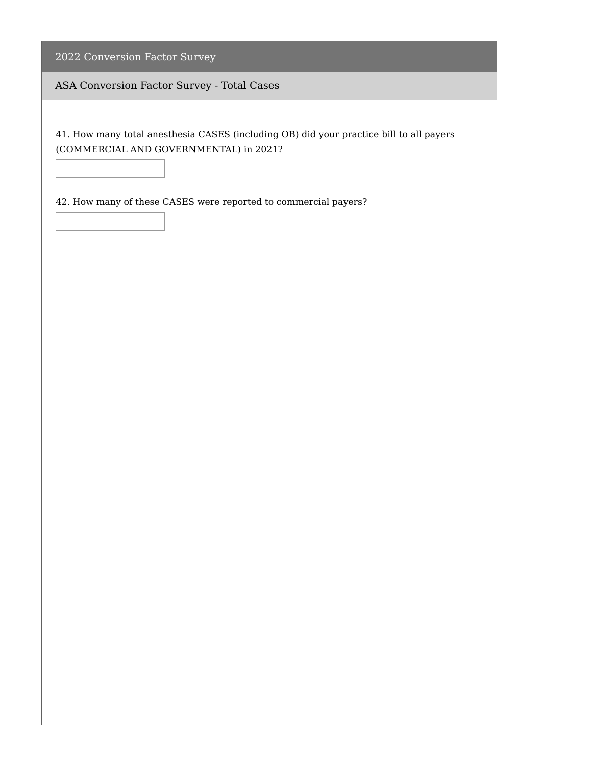ASA Conversion Factor Survey - Total Cases

41. How many total anesthesia CASES (including OB) did your practice bill to all payers (COMMERCIAL AND GOVERNMENTAL) in 2021?

42. How many of these CASES were reported to commercial payers?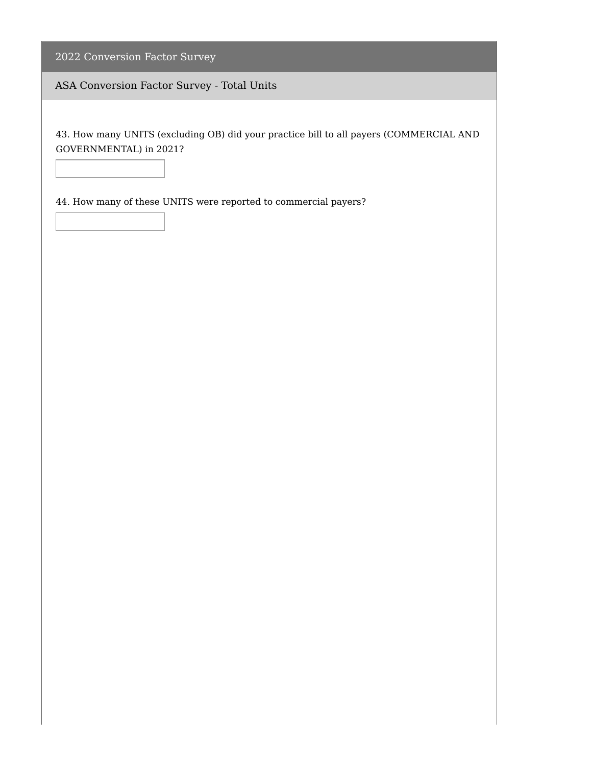ASA Conversion Factor Survey - Total Units

43. How many UNITS (excluding OB) did your practice bill to all payers (COMMERCIAL AND GOVERNMENTAL) in 2021?

44. How many of these UNITS were reported to commercial payers?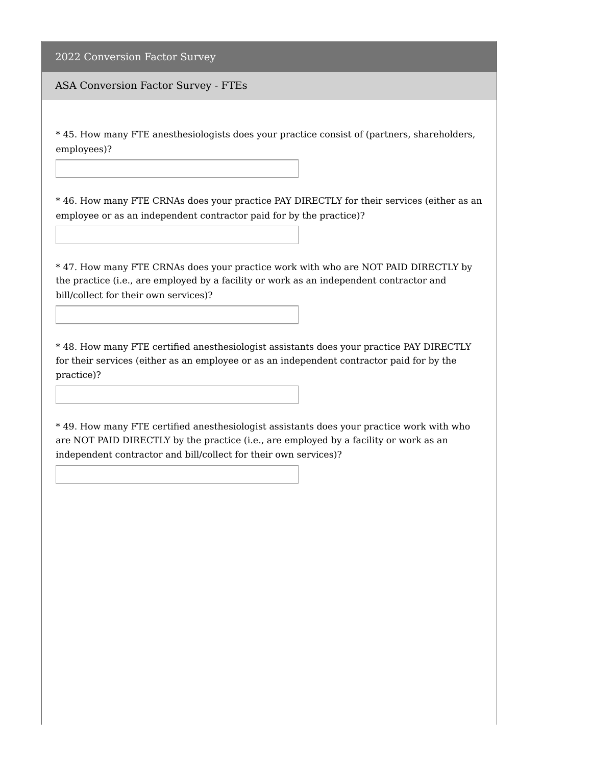ASA Conversion Factor Survey - FTEs

\* 45. How many FTE anesthesiologists does your practice consist of (partners, shareholders, employees)?

\* 46. How many FTE CRNAs does your practice PAY DIRECTLY for their services (either as an employee or as an independent contractor paid for by the practice)?

\* 47. How many FTE CRNAs does your practice work with who are NOT PAID DIRECTLY by the practice (i.e., are employed by a facility or work as an independent contractor and bill/collect for their own services)?

\* 48. How many FTE certified anesthesiologist assistants does your practice PAY DIRECTLY for their services (either as an employee or as an independent contractor paid for by the practice)?

\* 49. How many FTE certified anesthesiologist assistants does your practice work with who are NOT PAID DIRECTLY by the practice (i.e., are employed by a facility or work as an independent contractor and bill/collect for their own services)?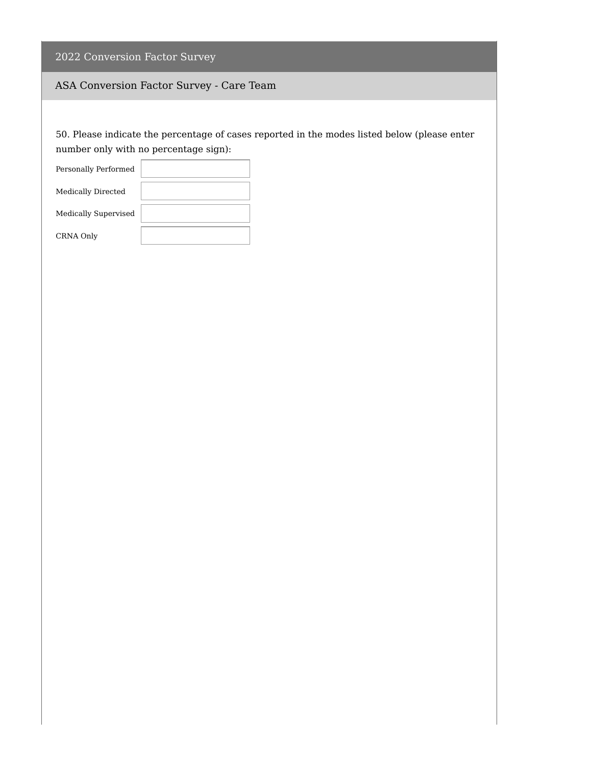| 2022 Conversion Factor Survey |  |  |  |
|-------------------------------|--|--|--|
|-------------------------------|--|--|--|

# ASA Conversion Factor Survey - Care Team

50. Please indicate the percentage of cases reported in the modes listed below (please enter number only with no percentage sign):

| Personally Performed      |  |
|---------------------------|--|
| <b>Medically Directed</b> |  |
| Medically Supervised      |  |
| CRNA Only                 |  |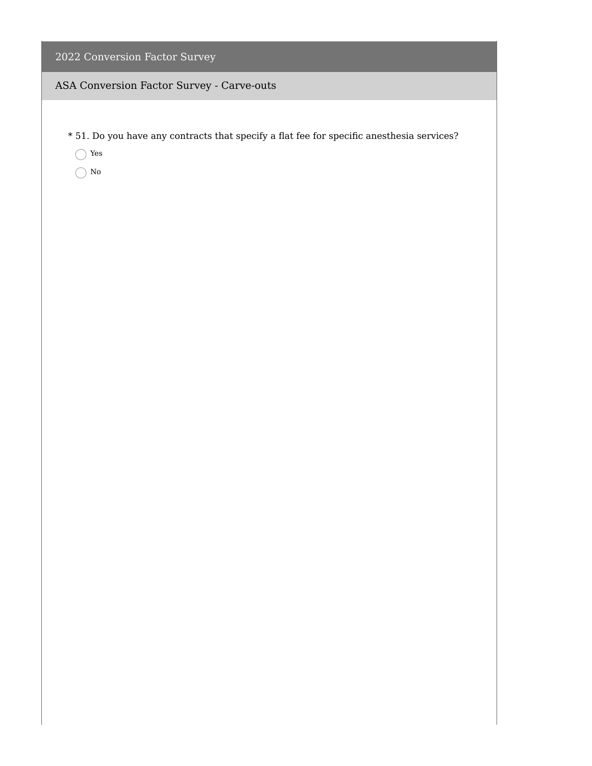#### ASA Conversion Factor Survey - Carve-outs

- \* 51. Do you have any contracts that specify a flat fee for specific anesthesia services?
	- Yes
	- $\bigcirc$  No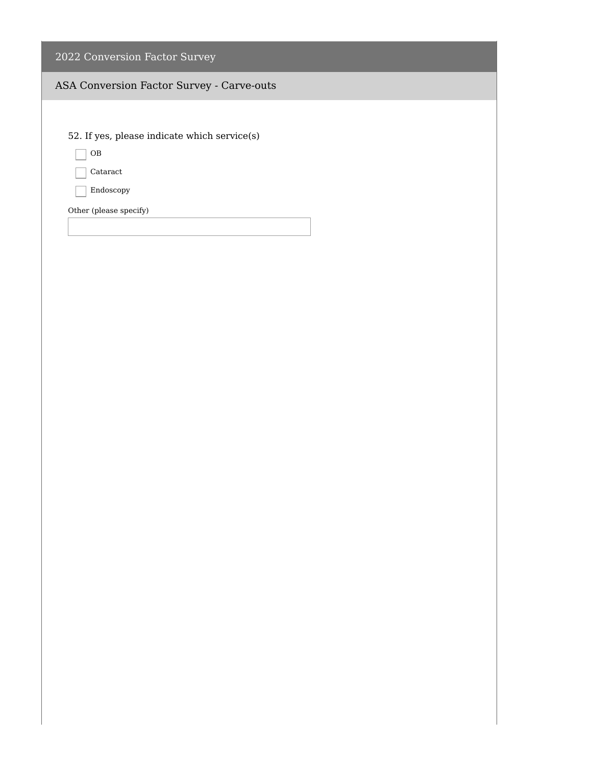#### ASA Conversion Factor Survey - Carve-outs

52. If yes, please indicate which service(s)

 $\Box$  OB

Cataract

Endoscopy

Other (please specify)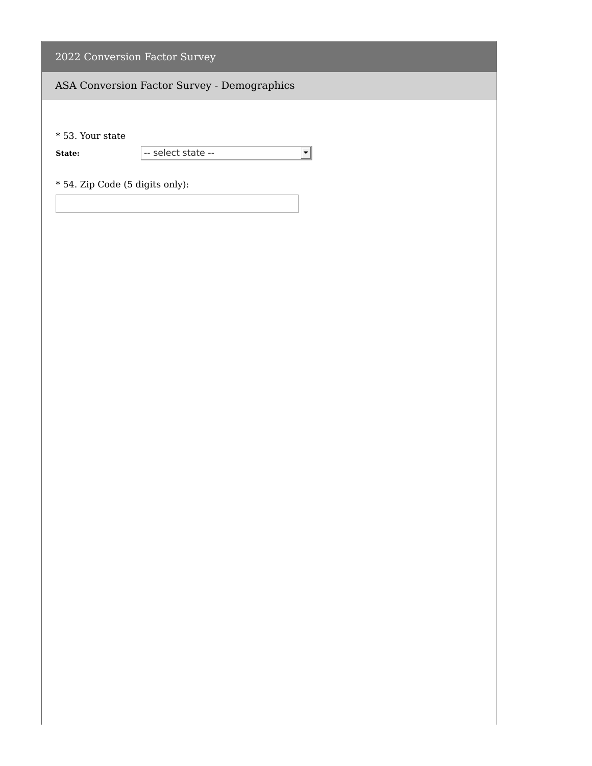# ASA Conversion Factor Survey - Demographics

\* 53. Your state

**State:**  $\overline{\phantom{a}}$  -- select state -- $\vert \cdot \vert$ 

\* 54. Zip Code (5 digits only):